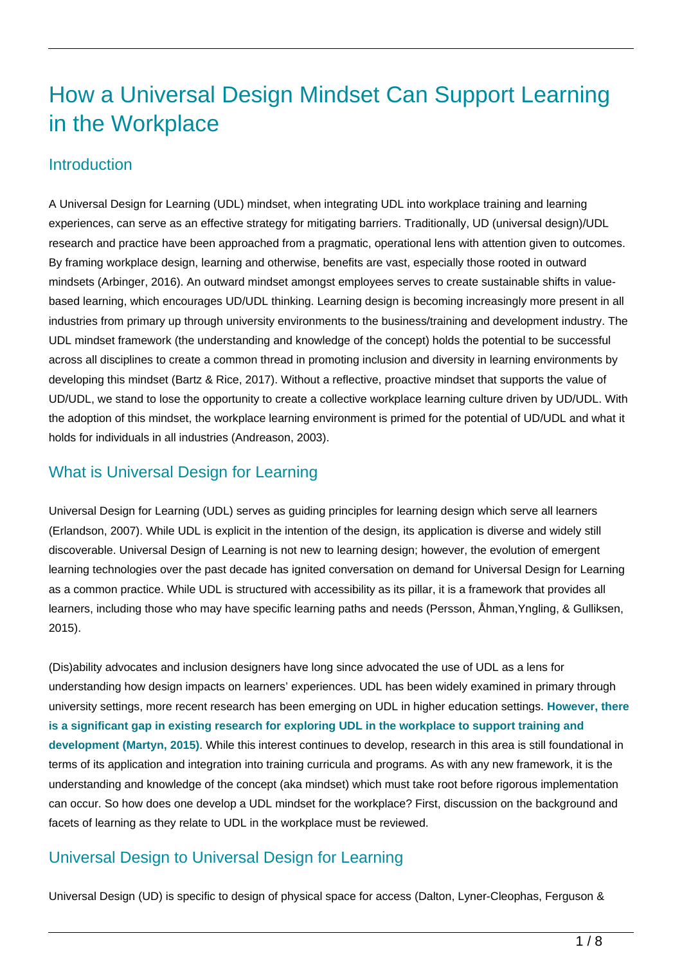# How a Universal Design Mindset Can Support Learning in the Workplace

### **Introduction**

A Universal Design for Learning (UDL) mindset, when integrating UDL into workplace training and learning experiences, can serve as an effective strategy for mitigating barriers. Traditionally, UD (universal design)/UDL research and practice have been approached from a pragmatic, operational lens with attention given to outcomes. By framing workplace design, learning and otherwise, benefits are vast, especially those rooted in outward mindsets (Arbinger, 2016). An outward mindset amongst employees serves to create sustainable shifts in valuebased learning, which encourages UD/UDL thinking. Learning design is becoming increasingly more present in all industries from primary up through university environments to the business/training and development industry. The UDL mindset framework (the understanding and knowledge of the concept) holds the potential to be successful across all disciplines to create a common thread in promoting inclusion and diversity in learning environments by developing this mindset (Bartz & Rice, 2017). Without a reflective, proactive mindset that supports the value of UD/UDL, we stand to lose the opportunity to create a collective workplace learning culture driven by UD/UDL. With the adoption of this mindset, the workplace learning environment is primed for the potential of UD/UDL and what it holds for individuals in all industries (Andreason, 2003).

# What is Universal Design for Learning

Universal Design for Learning (UDL) serves as guiding principles for learning design which serve all learners (Erlandson, 2007). While UDL is explicit in the intention of the design, its application is diverse and widely still discoverable. Universal Design of Learning is not new to learning design; however, the evolution of emergent learning technologies over the past decade has ignited conversation on demand for Universal Design for Learning as a common practice. While UDL is structured with accessibility as its pillar, it is a framework that provides all learners, including those who may have specific learning paths and needs (Persson, Åhman,Yngling, & Gulliksen, 2015).

(Dis)ability advocates and inclusion designers have long since advocated the use of UDL as a lens for understanding how design impacts on learners' experiences. UDL has been widely examined in primary through university settings, more recent research has been emerging on UDL in higher education settings. **However, there is a significant gap in existing research for exploring UDL in the workplace to support training and development (Martyn, 2015)**. While this interest continues to develop, research in this area is still foundational in terms of its application and integration into training curricula and programs. As with any new framework, it is the understanding and knowledge of the concept (aka mindset) which must take root before rigorous implementation can occur. So how does one develop a UDL mindset for the workplace? First, discussion on the background and facets of learning as they relate to UDL in the workplace must be reviewed.

# Universal Design to Universal Design for Learning

Universal Design (UD) is specific to design of physical space for access (Dalton, Lyner-Cleophas, Ferguson &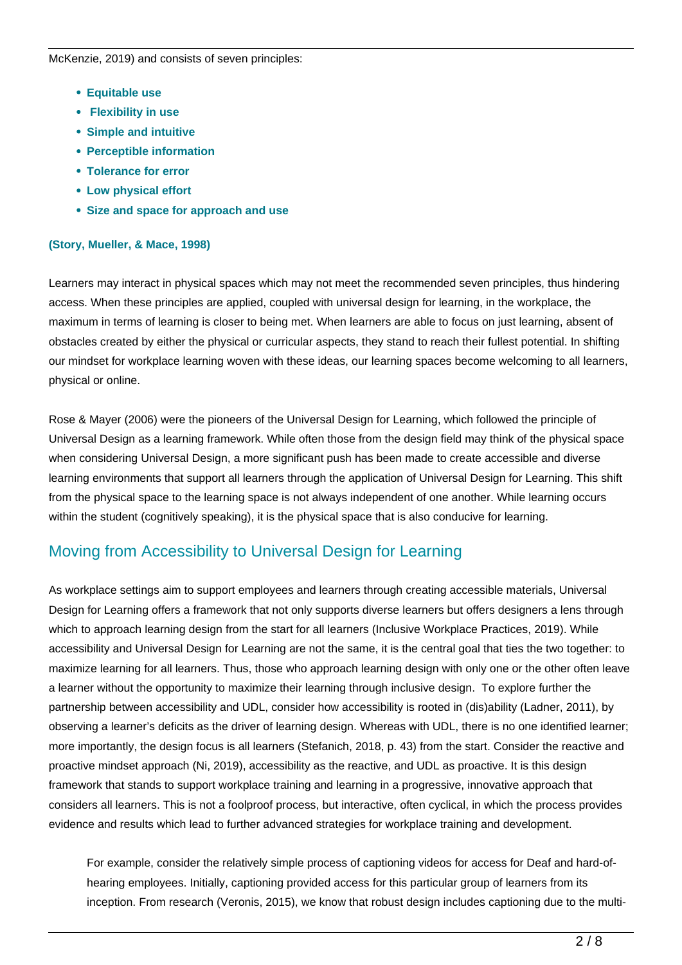McKenzie, 2019) and consists of seven principles:

- **Equitable use**
- **Flexibility in use**
- **Simple and intuitive**
- **Perceptible information**
- **Tolerance for error**
- **Low physical effort**
- **Size and space for approach and use**

### **(Story, Mueller, & Mace, 1998)**

Learners may interact in physical spaces which may not meet the recommended seven principles, thus hindering access. When these principles are applied, coupled with universal design for learning, in the workplace, the maximum in terms of learning is closer to being met. When learners are able to focus on just learning, absent of obstacles created by either the physical or curricular aspects, they stand to reach their fullest potential. In shifting our mindset for workplace learning woven with these ideas, our learning spaces become welcoming to all learners, physical or online.

Rose & Mayer (2006) were the pioneers of the Universal Design for Learning, which followed the principle of Universal Design as a learning framework. While often those from the design field may think of the physical space when considering Universal Design, a more significant push has been made to create accessible and diverse learning environments that support all learners through the application of Universal Design for Learning. This shift from the physical space to the learning space is not always independent of one another. While learning occurs within the student (cognitively speaking), it is the physical space that is also conducive for learning.

### Moving from Accessibility to Universal Design for Learning

As workplace settings aim to support employees and learners through creating accessible materials, Universal Design for Learning offers a framework that not only supports diverse learners but offers designers a lens through which to approach learning design from the start for all learners (Inclusive Workplace Practices, 2019). While accessibility and Universal Design for Learning are not the same, it is the central goal that ties the two together: to maximize learning for all learners. Thus, those who approach learning design with only one or the other often leave a learner without the opportunity to maximize their learning through inclusive design. To explore further the partnership between accessibility and UDL, consider how accessibility is rooted in (dis)ability (Ladner, 2011), by observing a learner's deficits as the driver of learning design. Whereas with UDL, there is no one identified learner; more importantly, the design focus is all learners (Stefanich, 2018, p. 43) from the start. Consider the reactive and proactive mindset approach (Ni, 2019), accessibility as the reactive, and UDL as proactive. It is this design framework that stands to support workplace training and learning in a progressive, innovative approach that considers all learners. This is not a foolproof process, but interactive, often cyclical, in which the process provides evidence and results which lead to further advanced strategies for workplace training and development.

For example, consider the relatively simple process of captioning videos for access for Deaf and hard-ofhearing employees. Initially, captioning provided access for this particular group of learners from its inception. From research (Veronis, 2015), we know that robust design includes captioning due to the multi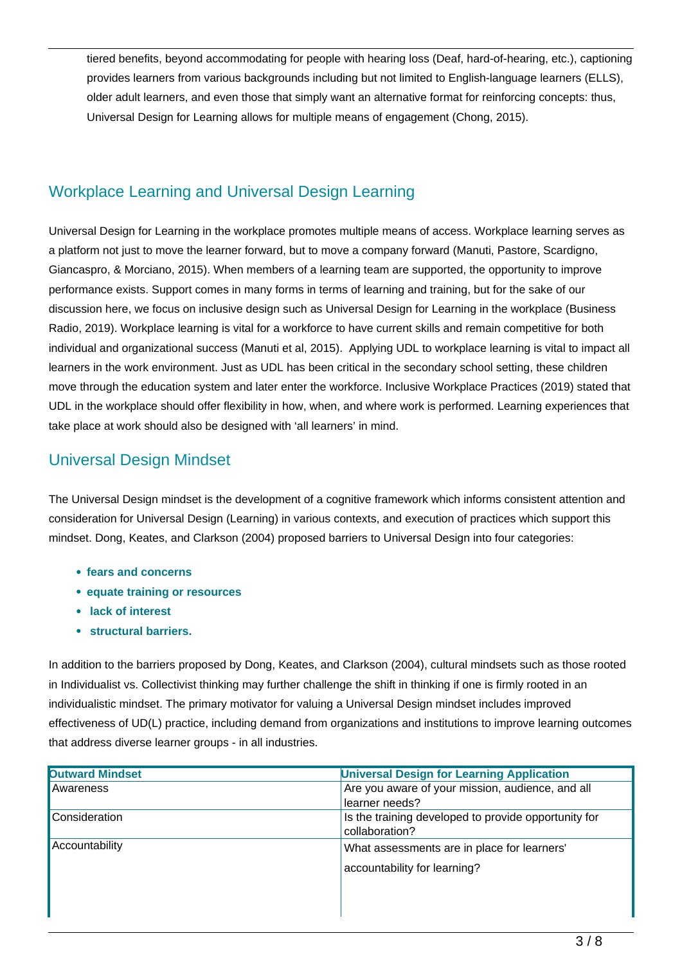tiered benefits, beyond accommodating for people with hearing loss (Deaf, hard-of-hearing, etc.), captioning provides learners from various backgrounds including but not limited to English-language learners (ELLS), older adult learners, and even those that simply want an alternative format for reinforcing concepts: thus, Universal Design for Learning allows for multiple means of engagement (Chong, 2015).

# Workplace Learning and Universal Design Learning

Universal Design for Learning in the workplace promotes multiple means of access. Workplace learning serves as a platform not just to move the learner forward, but to move a company forward (Manuti, Pastore, Scardigno, Giancaspro, & Morciano, 2015). When members of a learning team are supported, the opportunity to improve performance exists. Support comes in many forms in terms of learning and training, but for the sake of our discussion here, we focus on inclusive design such as Universal Design for Learning in the workplace (Business Radio, 2019). Workplace learning is vital for a workforce to have current skills and remain competitive for both individual and organizational success (Manuti et al, 2015). Applying UDL to workplace learning is vital to impact all learners in the work environment. Just as UDL has been critical in the secondary school setting, these children move through the education system and later enter the workforce. Inclusive Workplace Practices (2019) stated that UDL in the workplace should offer flexibility in how, when, and where work is performed. Learning experiences that take place at work should also be designed with 'all learners' in mind.

## Universal Design Mindset

The Universal Design mindset is the development of a cognitive framework which informs consistent attention and consideration for Universal Design (Learning) in various contexts, and execution of practices which support this mindset. Dong, Keates, and Clarkson (2004) proposed barriers to Universal Design into four categories:

- **fears and concerns**
- **equate training or resources**
- **lack of interest**
- **structural barriers.**

In addition to the barriers proposed by Dong, Keates, and Clarkson (2004), cultural mindsets such as those rooted in Individualist vs. Collectivist thinking may further challenge the shift in thinking if one is firmly rooted in an individualistic mindset. The primary motivator for valuing a Universal Design mindset includes improved effectiveness of UD(L) practice, including demand from organizations and institutions to improve learning outcomes that address diverse learner groups - in all industries.

| <b>Outward Mindset</b> | <b>Universal Design for Learning Application</b>     |
|------------------------|------------------------------------------------------|
| Awareness              | Are you aware of your mission, audience, and all     |
|                        | learner needs?                                       |
| Consideration          | Is the training developed to provide opportunity for |
|                        | collaboration?                                       |
| Accountability         | What assessments are in place for learners'          |
|                        | accountability for learning?                         |
|                        |                                                      |
|                        |                                                      |
|                        |                                                      |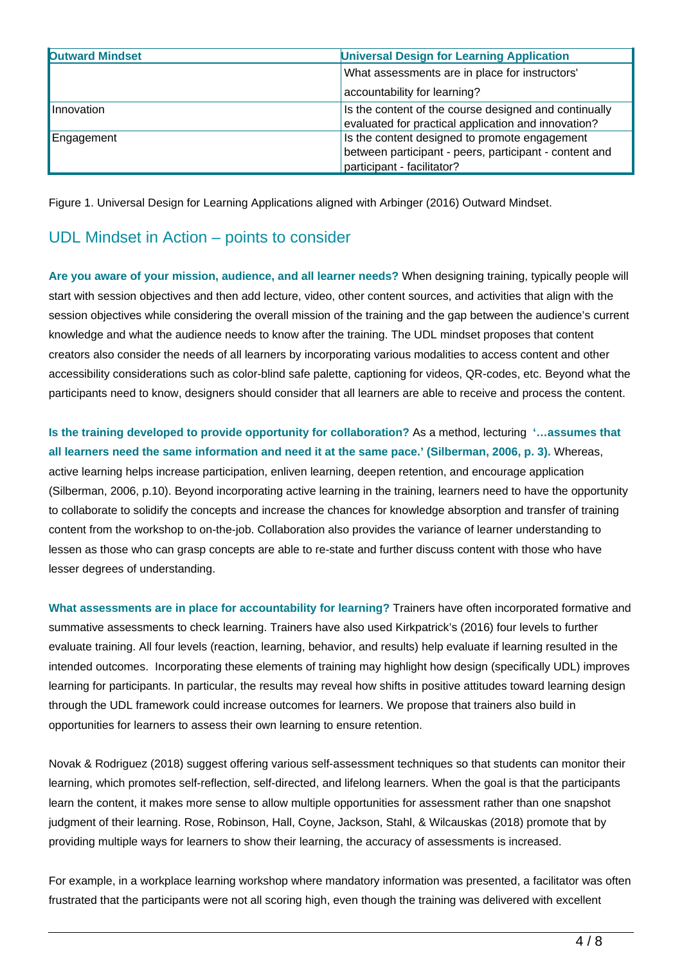| <b>Outward Mindset</b> | <b>Universal Design for Learning Application</b>       |
|------------------------|--------------------------------------------------------|
|                        | What assessments are in place for instructors'         |
|                        | accountability for learning?                           |
| Innovation             | Is the content of the course designed and continually  |
|                        | evaluated for practical application and innovation?    |
| Engagement             | Is the content designed to promote engagement          |
|                        | between participant - peers, participant - content and |
|                        | participant - facilitator?                             |

Figure 1. Universal Design for Learning Applications aligned with Arbinger (2016) Outward Mindset.

### UDL Mindset in Action – points to consider

**Are you aware of your mission, audience, and all learner needs?** When designing training, typically people will start with session objectives and then add lecture, video, other content sources, and activities that align with the session objectives while considering the overall mission of the training and the gap between the audience's current knowledge and what the audience needs to know after the training. The UDL mindset proposes that content creators also consider the needs of all learners by incorporating various modalities to access content and other accessibility considerations such as color-blind safe palette, captioning for videos, QR-codes, etc. Beyond what the participants need to know, designers should consider that all learners are able to receive and process the content.

**Is the training developed to provide opportunity for collaboration?** As a method, lecturing **'…assumes that all learners need the same information and need it at the same pace.' (Silberman, 2006, p. 3).** Whereas, active learning helps increase participation, enliven learning, deepen retention, and encourage application (Silberman, 2006, p.10). Beyond incorporating active learning in the training, learners need to have the opportunity to collaborate to solidify the concepts and increase the chances for knowledge absorption and transfer of training content from the workshop to on-the-job. Collaboration also provides the variance of learner understanding to lessen as those who can grasp concepts are able to re-state and further discuss content with those who have lesser degrees of understanding.

**What assessments are in place for accountability for learning?** Trainers have often incorporated formative and summative assessments to check learning. Trainers have also used Kirkpatrick's (2016) four levels to further evaluate training. All four levels (reaction, learning, behavior, and results) help evaluate if learning resulted in the intended outcomes. Incorporating these elements of training may highlight how design (specifically UDL) improves learning for participants. In particular, the results may reveal how shifts in positive attitudes toward learning design through the UDL framework could increase outcomes for learners. We propose that trainers also build in opportunities for learners to assess their own learning to ensure retention.

Novak & Rodriguez (2018) suggest offering various self-assessment techniques so that students can monitor their learning, which promotes self-reflection, self-directed, and lifelong learners. When the goal is that the participants learn the content, it makes more sense to allow multiple opportunities for assessment rather than one snapshot judgment of their learning. Rose, Robinson, Hall, Coyne, Jackson, Stahl, & Wilcauskas (2018) promote that by providing multiple ways for learners to show their learning, the accuracy of assessments is increased.

For example, in a workplace learning workshop where mandatory information was presented, a facilitator was often frustrated that the participants were not all scoring high, even though the training was delivered with excellent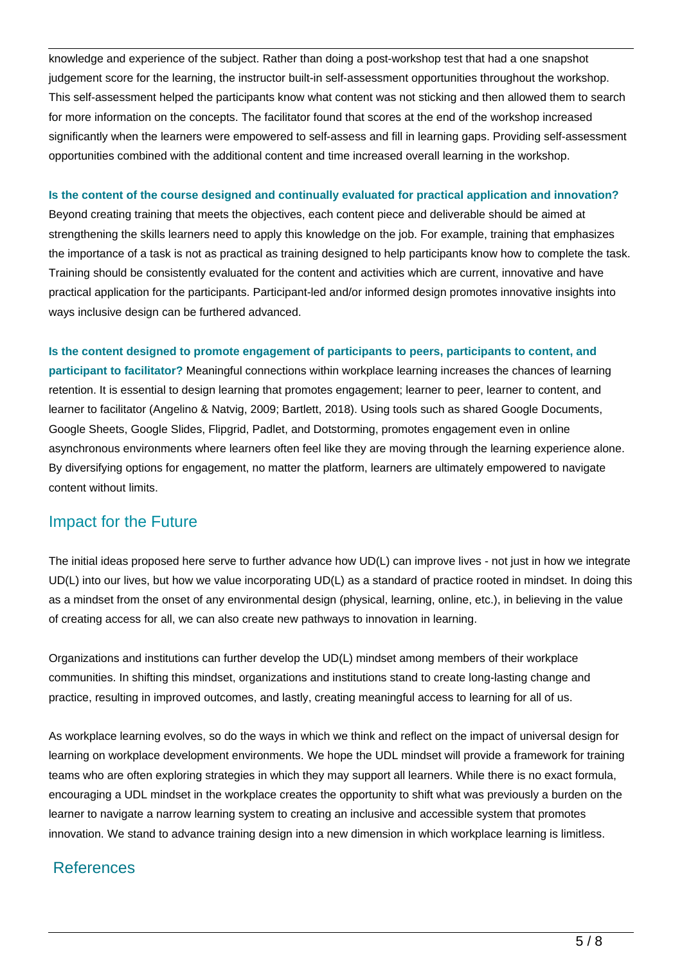knowledge and experience of the subject. Rather than doing a post-workshop test that had a one snapshot judgement score for the learning, the instructor built-in self-assessment opportunities throughout the workshop. This self-assessment helped the participants know what content was not sticking and then allowed them to search for more information on the concepts. The facilitator found that scores at the end of the workshop increased significantly when the learners were empowered to self-assess and fill in learning gaps. Providing self-assessment opportunities combined with the additional content and time increased overall learning in the workshop.

### **Is the content of the course designed and continually evaluated for practical application and innovation?**

Beyond creating training that meets the objectives, each content piece and deliverable should be aimed at strengthening the skills learners need to apply this knowledge on the job. For example, training that emphasizes the importance of a task is not as practical as training designed to help participants know how to complete the task. Training should be consistently evaluated for the content and activities which are current, innovative and have practical application for the participants. Participant-led and/or informed design promotes innovative insights into ways inclusive design can be furthered advanced.

**Is the content designed to promote engagement of participants to peers, participants to content, and participant to facilitator?** Meaningful connections within workplace learning increases the chances of learning retention. It is essential to design learning that promotes engagement; learner to peer, learner to content, and learner to facilitator (Angelino & Natvig, 2009; Bartlett, 2018). Using tools such as shared Google Documents, Google Sheets, Google Slides, Flipgrid, Padlet, and Dotstorming, promotes engagement even in online asynchronous environments where learners often feel like they are moving through the learning experience alone. By diversifying options for engagement, no matter the platform, learners are ultimately empowered to navigate content without limits.

# Impact for the Future

The initial ideas proposed here serve to further advance how UD(L) can improve lives - not just in how we integrate UD(L) into our lives, but how we value incorporating UD(L) as a standard of practice rooted in mindset. In doing this as a mindset from the onset of any environmental design (physical, learning, online, etc.), in believing in the value of creating access for all, we can also create new pathways to innovation in learning.

Organizations and institutions can further develop the UD(L) mindset among members of their workplace communities. In shifting this mindset, organizations and institutions stand to create long-lasting change and practice, resulting in improved outcomes, and lastly, creating meaningful access to learning for all of us.

As workplace learning evolves, so do the ways in which we think and reflect on the impact of universal design for learning on workplace development environments. We hope the UDL mindset will provide a framework for training teams who are often exploring strategies in which they may support all learners. While there is no exact formula, encouraging a UDL mindset in the workplace creates the opportunity to shift what was previously a burden on the learner to navigate a narrow learning system to creating an inclusive and accessible system that promotes innovation. We stand to advance training design into a new dimension in which workplace learning is limitless.

# References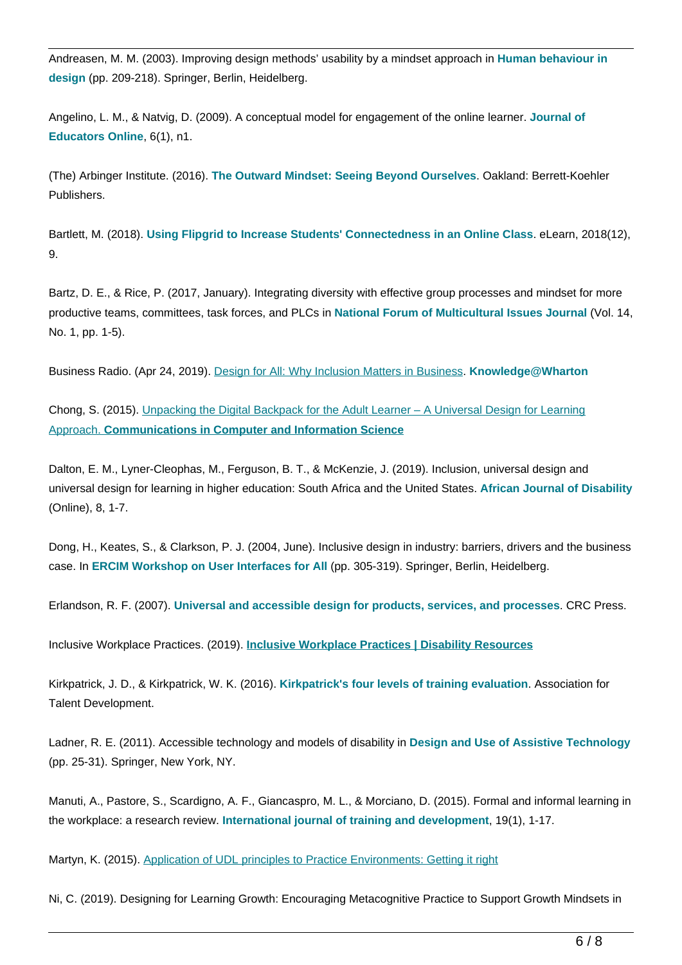Andreasen, M. M. (2003). Improving design methods' usability by a mindset approach in **Human behaviour in design** (pp. 209-218). Springer, Berlin, Heidelberg.

Angelino, L. M., & Natvig, D. (2009). A conceptual model for engagement of the online learner. **Journal of Educators Online**, 6(1), n1.

(The) Arbinger Institute. (2016). **The Outward Mindset: Seeing Beyond Ourselves**. Oakland: Berrett-Koehler Publishers.

Bartlett, M. (2018). **Using Flipgrid to Increase Students' Connectedness in an Online Class**. eLearn, 2018(12), 9.

Bartz, D. E., & Rice, P. (2017, January). Integrating diversity with effective group processes and mindset for more productive teams, committees, task forces, and PLCs in **National Forum of Multicultural Issues Journal** (Vol. 14, No. 1, pp. 1-5).

Business Radio. (Apr 24, 2019). [Design for All: Why Inclusion Matters in Business](https://knowledge.wharton.upenn.edu/article/design-for-all-why-inclusion-matters-in-business/). **Knowledge@Wharton**

Chong, S. (2015). [Unpacking the Digital Backpack for the Adult Learner – A Universal Design for Learning](https://doi.org/10.1007/978-3-662-48978-9_2) [Approach.](https://doi.org/10.1007/978-3-662-48978-9_2) **[Communications in Computer and Information Science](https://doi.org/10.1007/978-3-662-48978-9_2)**

Dalton, E. M., Lyner-Cleophas, M., Ferguson, B. T., & McKenzie, J. (2019). Inclusion, universal design and universal design for learning in higher education: South Africa and the United States. **African Journal of Disability** (Online), 8, 1-7.

Dong, H., Keates, S., & Clarkson, P. J. (2004, June). Inclusive design in industry: barriers, drivers and the business case. In **ERCIM Workshop on User Interfaces for All** (pp. 305-319). Springer, Berlin, Heidelberg.

Erlandson, R. F. (2007). **Universal and accessible design for products, services, and processes**. CRC Press.

Inclusive Workplace Practices. (2019). **[Inclusive Workplace Practices | Disability Resources](https://drc.arizona.edu/workplace/inclusive-workplace-practices)**

Kirkpatrick, J. D., & Kirkpatrick, W. K. (2016). **Kirkpatrick's four levels of training evaluation**. Association for Talent Development.

Ladner, R. E. (2011). Accessible technology and models of disability in **Design and Use of Assistive Technology** (pp. 25-31). Springer, New York, NY.

Manuti, A., Pastore, S., Scardigno, A. F., Giancaspro, M. L., & Morciano, D. (2015). Formal and informal learning in the workplace: a research review. **International journal of training and development**, 19(1), 1-17.

Martyn, K. (2015). [Application of UDL principles to Practice Environments: Getting it right](https://cris.brighton.ac.uk/ws/portalfiles/portal/378626/Application+of+UDL+principles+to+practice+environments+Getting+it+right+Final.pdf)

Ni, C. (2019). Designing for Learning Growth: Encouraging Metacognitive Practice to Support Growth Mindsets in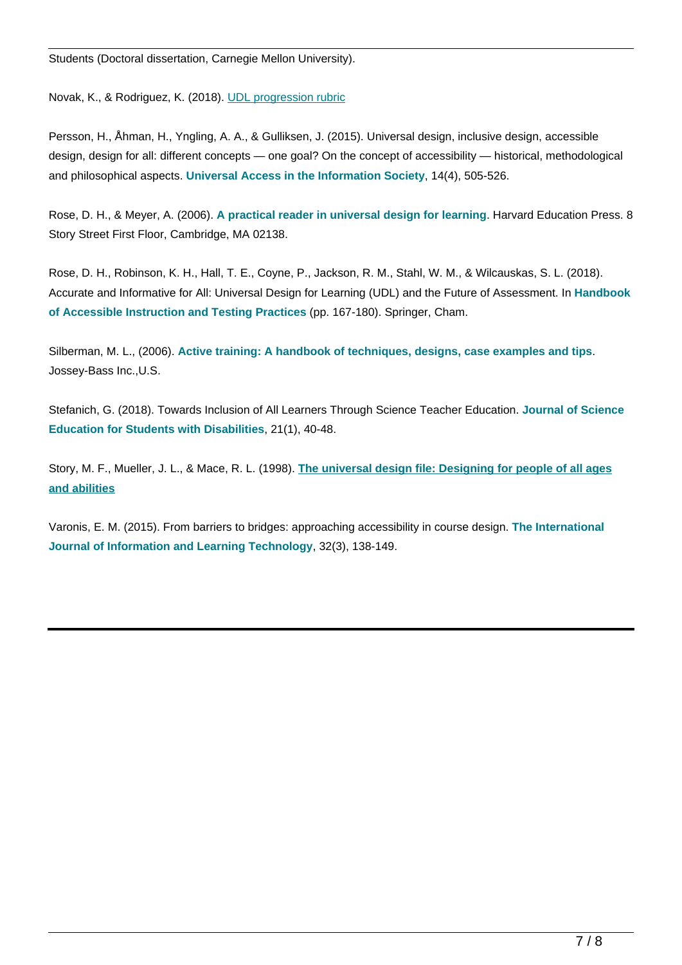Students (Doctoral dissertation, Carnegie Mellon University).

Novak, K., & Rodriguez, K. (2018). [UDL progression rubric](http://castpublishing.org/wp-content/uploads/2018/02/UDL_Progression_Rubric_FINAL_Web_REV1.pdf)

Persson, H., Åhman, H., Yngling, A. A., & Gulliksen, J. (2015). Universal design, inclusive design, accessible design, design for all: different concepts — one goal? On the concept of accessibility — historical, methodological and philosophical aspects. **Universal Access in the Information Society**, 14(4), 505-526.

Rose, D. H., & Meyer, A. (2006). **A practical reader in universal design for learning**. Harvard Education Press. 8 Story Street First Floor, Cambridge, MA 02138.

Rose, D. H., Robinson, K. H., Hall, T. E., Coyne, P., Jackson, R. M., Stahl, W. M., & Wilcauskas, S. L. (2018). Accurate and Informative for All: Universal Design for Learning (UDL) and the Future of Assessment. In **Handbook of Accessible Instruction and Testing Practices** (pp. 167-180). Springer, Cham.

Silberman, M. L., (2006). **Active training: A handbook of techniques, designs, case examples and tips**. Jossey-Bass Inc.,U.S.

Stefanich, G. (2018). Towards Inclusion of All Learners Through Science Teacher Education. **Journal of Science Education for Students with Disabilities**, 21(1), 40-48.

Story, M. F., Mueller, J. L., & Mace, R. L. (1998). **[The universal design file: Designing for people of all ages](https://eric.ed.gov/?id=ED460554) [and abilities](https://eric.ed.gov/?id=ED460554)**

Varonis, E. M. (2015). From barriers to bridges: approaching accessibility in course design. **The International Journal of Information and Learning Technology**, 32(3), 138-149.